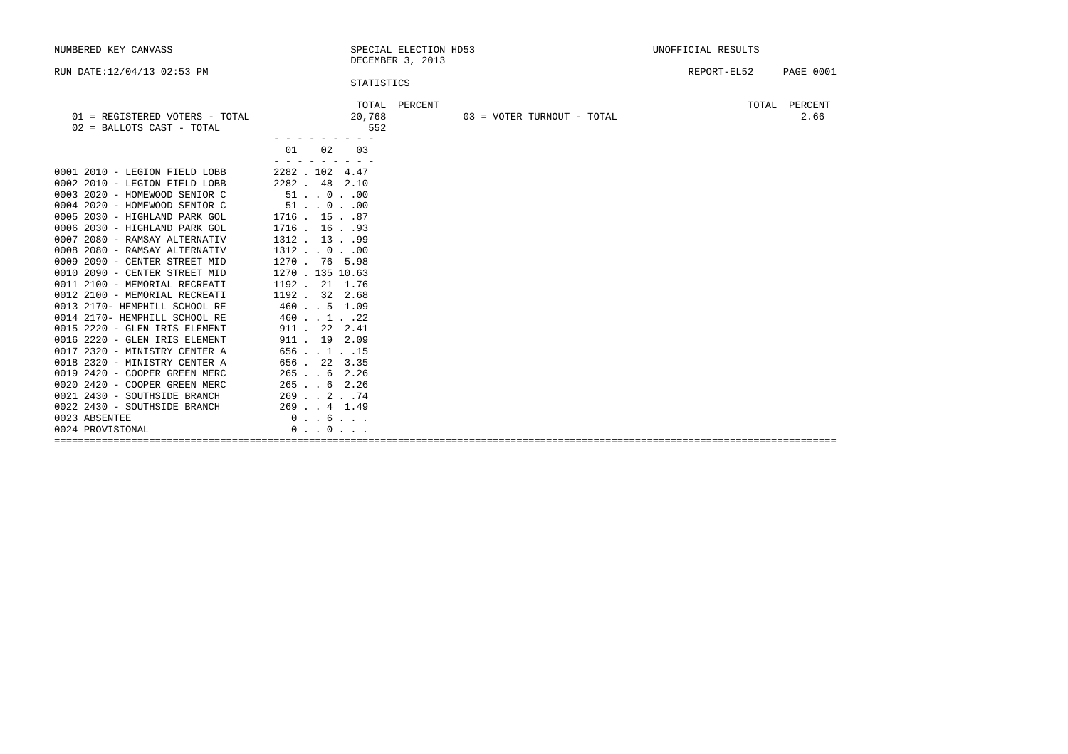|                                                                                                                                                                                                                                                                                                                                                                                                                      |                                                                    |             | UNOFFICIAL RESULTS         |  |  |
|----------------------------------------------------------------------------------------------------------------------------------------------------------------------------------------------------------------------------------------------------------------------------------------------------------------------------------------------------------------------------------------------------------------------|--------------------------------------------------------------------|-------------|----------------------------|--|--|
|                                                                                                                                                                                                                                                                                                                                                                                                                      |                                                                    | REPORT-EL52 | <b>PAGE 0001</b>           |  |  |
| TOTAL<br>20,768<br>552                                                                                                                                                                                                                                                                                                                                                                                               |                                                                    |             | TOTAL PERCENT<br>2.66      |  |  |
| 01<br>02<br>03                                                                                                                                                                                                                                                                                                                                                                                                       |                                                                    |             |                            |  |  |
| 2282.102.4.47<br>2282. 48 2.10<br>$51$ 000<br>$51$ 000<br>$1716$ . $15$ 87<br>1716. 16. .93<br>1312. 1399<br>$1312$ 000<br>1270. 76 5.98<br>1270 . 135 10.63<br>1192. 21 1.76<br>1192. 32 2.68<br>460 5 1.09<br>460. . 1. . 22<br>911 . 22 2.41<br>911 . 19 2.09<br>656 115<br>656. 22 3.35<br>265. . 6 2.26<br>$265$ $\ldots$ 6 2.26<br>$269$ $. 2$ $. 74$<br>$269$ $.4$ $1.49$<br>0.6.1<br>$0 \t . \t 0 \t . \t .$ |                                                                    |             |                            |  |  |
|                                                                                                                                                                                                                                                                                                                                                                                                                      |                                                                    |             |                            |  |  |
|                                                                                                                                                                                                                                                                                                                                                                                                                      | SPECIAL ELECTION HD53<br>DECEMBER 3, 2013<br>STATISTICS<br>PERCENT |             | 03 = VOTER TURNOUT - TOTAL |  |  |